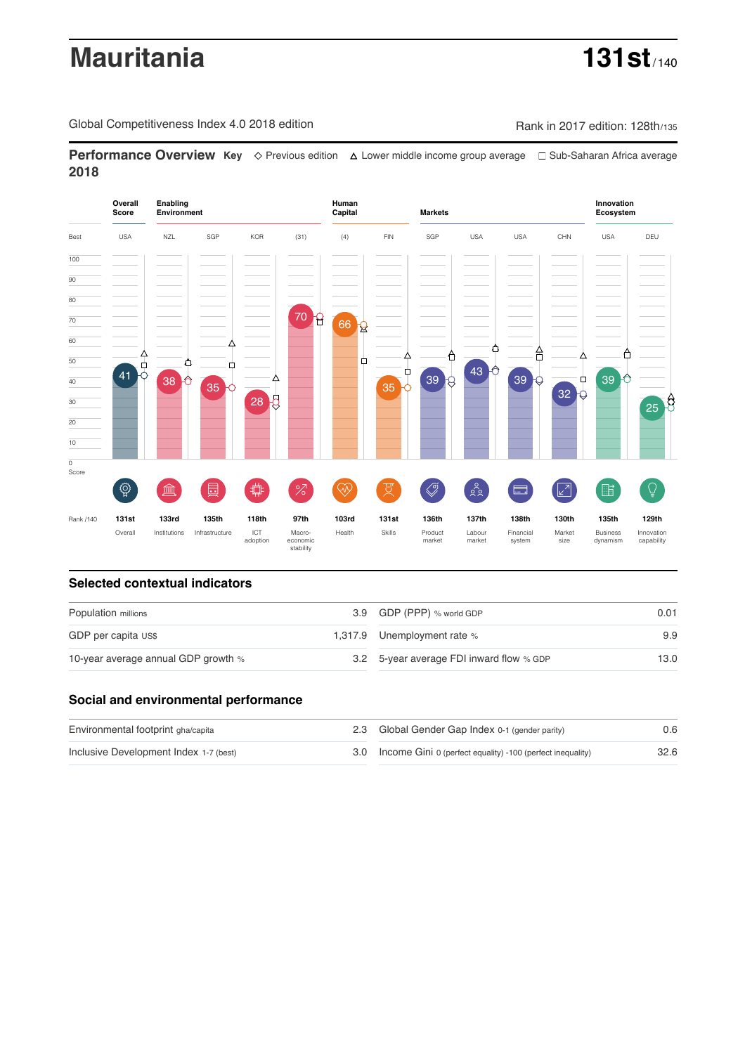# **Mauritania 131st**

Global Competitiveness Index 4.0 2018 edition Company Rank in 2017 edition: 128th/135

**Performance Overview Key** Previous edition Lower middle income group average Sub-Saharan Africa average **2018**



# **Selected contextual indicators**

| Population millions                 | 3.9 GDP (PPP) % world GDP                | 0.01 |  |
|-------------------------------------|------------------------------------------|------|--|
| GDP per capita US\$                 | 1,317.9 Unemployment rate %              | 9.9  |  |
| 10-year average annual GDP growth % | 3.2 5-year average FDI inward flow % GDP | 13.0 |  |

# **Social and environmental performance**

| Environmental footprint gha/capita     | 2.3 Global Gender Gap Index 0-1 (gender parity)                | 0.6  |
|----------------------------------------|----------------------------------------------------------------|------|
| Inclusive Development Index 1-7 (best) | 3.0 Income Gini 0 (perfect equality) -100 (perfect inequality) | 32.6 |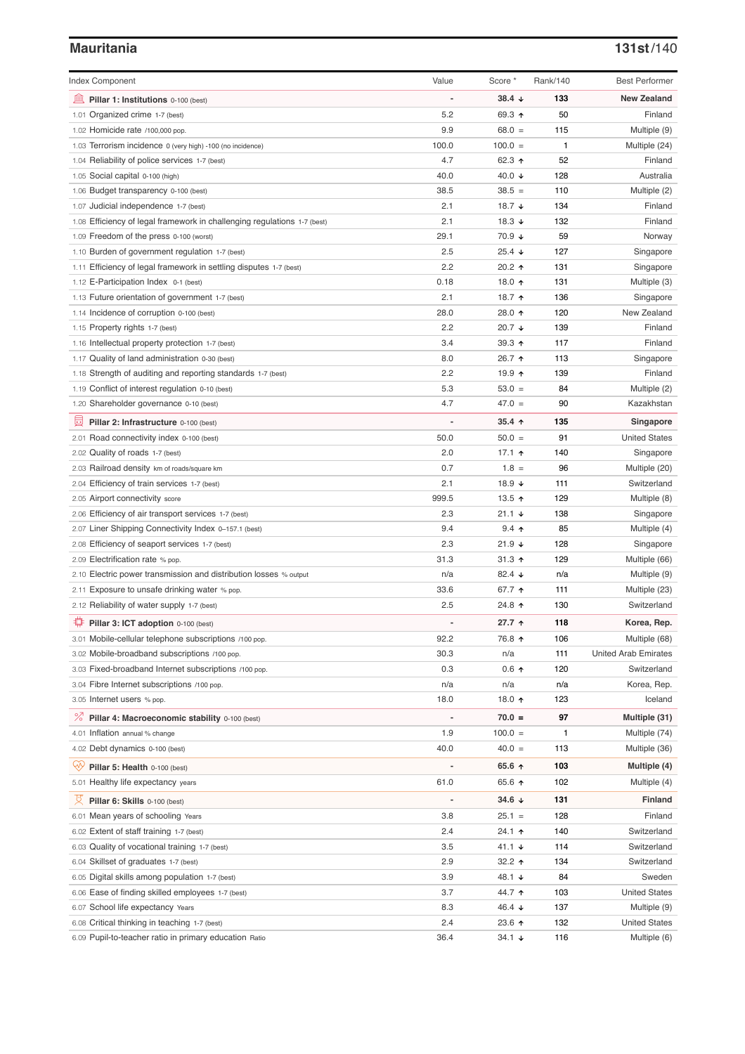# **Mauritania 131st**/140

| <b>Index Component</b>                                                   | Value          | Score *              | Rank/140 | <b>Best Performer</b>       |
|--------------------------------------------------------------------------|----------------|----------------------|----------|-----------------------------|
| Pillar 1: Institutions 0-100 (best)                                      |                | 38.4 $\sqrt{ }$      | 133      | <b>New Zealand</b>          |
| 1.01 Organized crime 1-7 (best)                                          | 5.2            | 69.3 ↑               | 50       | Finland                     |
| 1.02 Homicide rate /100,000 pop.                                         | 9.9            | $68.0 =$             | 115      | Multiple (9)                |
| 1.03 Terrorism incidence 0 (very high) -100 (no incidence)               | 100.0          | $100.0 =$            | 1        | Multiple (24)               |
| 1.04 Reliability of police services 1-7 (best)                           | 4.7            | 62.3 $\uparrow$      | 52       | Finland                     |
| 1.05 Social capital 0-100 (high)                                         | 40.0           | 40.0 $\sqrt{ }$      | 128      | Australia                   |
| 1.06 Budget transparency 0-100 (best)                                    | 38.5           | $38.5 =$             | 110      | Multiple (2)                |
| 1.07 Judicial independence 1-7 (best)                                    | 2.1            | 18.7 ↓               | 134      | Finland                     |
| 1.08 Efficiency of legal framework in challenging regulations 1-7 (best) | 2.1            | 18.3 $\sqrt{ }$      | 132      | Finland                     |
| 1.09 Freedom of the press 0-100 (worst)                                  | 29.1           | 70.9 ↓               | 59       | Norway                      |
| 1.10 Burden of government regulation 1-7 (best)                          | 2.5            | $25.4 \; \downarrow$ | 127      | Singapore                   |
| 1.11 Efficiency of legal framework in settling disputes 1-7 (best)       | 2.2            | 20.2 ↑               | 131      | Singapore                   |
| 1.12 E-Participation Index 0-1 (best)                                    | 0.18           | 18.0 个               | 131      | Multiple (3)                |
| 1.13 Future orientation of government 1-7 (best)                         | 2.1            | 18.7 ↑               | 136      | Singapore                   |
| 1.14 Incidence of corruption 0-100 (best)                                | 28.0           | 28.0 ↑               | 120      | New Zealand                 |
| 1.15 Property rights 1-7 (best)                                          | 2.2            | 20.7 $\sqrt{ }$      | 139      | Finland                     |
| 1.16 Intellectual property protection 1-7 (best)                         | 3.4            | 39.3 $\uparrow$      | 117      | Finland                     |
|                                                                          | 8.0            | 26.7 ↑               | 113      |                             |
| 1.17 Quality of land administration 0-30 (best)                          | 2.2            | 19.9 ↑               |          | Singapore                   |
| 1.18 Strength of auditing and reporting standards 1-7 (best)             |                |                      | 139      | Finland                     |
| 1.19 Conflict of interest regulation 0-10 (best)                         | 5.3            | $53.0 =$             | 84       | Multiple (2)                |
| 1.20 Shareholder governance 0-10 (best)                                  | 4.7            | $47.0 =$             | 90       | Kazakhstan                  |
| 員<br>Pillar 2: Infrastructure 0-100 (best)                               |                | $35.4$ ^             | 135      | Singapore                   |
| 2.01 Road connectivity index 0-100 (best)                                | 50.0           | $50.0 =$             | 91       | <b>United States</b>        |
| 2.02 Quality of roads 1-7 (best)                                         | 2.0            | 17.1 $\uparrow$      | 140      | Singapore                   |
| 2.03 Railroad density km of roads/square km                              | 0.7            | $1.8 =$              | 96       | Multiple (20)               |
| 2.04 Efficiency of train services 1-7 (best)                             | 2.1            | 18.9 $\sqrt{ }$      | 111      | Switzerland                 |
| 2.05 Airport connectivity score                                          | 999.5          | 13.5 $\uparrow$      | 129      | Multiple (8)                |
| 2.06 Efficiency of air transport services 1-7 (best)                     | 2.3            | $21.1 +$             | 138      | Singapore                   |
| 2.07 Liner Shipping Connectivity Index 0-157.1 (best)                    | 9.4            | $9.4$ ↑              | 85       | Multiple (4)                |
| 2.08 Efficiency of seaport services 1-7 (best)                           | 2.3            | $21.9 +$             | 128      | Singapore                   |
| 2.09 Electrification rate % pop.                                         | 31.3           | $31.3$ ↑             | 129      | Multiple (66)               |
| 2.10 Electric power transmission and distribution losses % output        | n/a            | 82.4 $\sqrt{ }$      | n/a      | Multiple (9)                |
| 2.11 Exposure to unsafe drinking water % pop.                            | 33.6           | 67.7 $\uparrow$      | 111      | Multiple (23)               |
| 2.12 Reliability of water supply 1-7 (best)                              | 2.5            | 24.8 ↑               | 130      | Switzerland                 |
| ₩<br>Pillar 3: ICT adoption 0-100 (best)                                 |                | 27.7 ↑               | 118      | Korea, Rep.                 |
| 3.01 Mobile-cellular telephone subscriptions /100 pop.                   | 92.2           | 76.8 ↑               | 106      | Multiple (68)               |
| 3.02 Mobile-broadband subscriptions /100 pop.                            | 30.3           | n/a                  | 111      | <b>United Arab Emirates</b> |
| 3.03 Fixed-broadband Internet subscriptions /100 pop.                    | 0.3            | $0.6$ ↑              | 120      | Switzerland                 |
| 3.04 Fibre Internet subscriptions /100 pop.                              | n/a            | n/a                  | n/a      | Korea, Rep.                 |
| 3.05 Internet users % pop.                                               | 18.0           | 18.0 个               | 123      | Iceland                     |
| ℅<br>Pillar 4: Macroeconomic stability 0-100 (best)                      | $\overline{a}$ | $70.0 =$             | 97       | Multiple (31)               |
| 4.01 Inflation annual % change                                           | 1.9            | $100.0 =$            | 1        | Multiple (74)               |
|                                                                          | 40.0           | $40.0 =$             |          |                             |
| 4.02 Debt dynamics 0-100 (best)                                          |                |                      | 113      | Multiple (36)               |
| Qiy<br>Pillar 5: Health 0-100 (best)                                     |                | 65.6 ↑               | 103      | Multiple (4)                |
| 5.01 Healthy life expectancy years                                       | 61.0           | 65.6 ↑               | 102      | Multiple (4)                |
| 섯<br>Pillar 6: Skills 0-100 (best)                                       |                | 34.6 ↓               | 131      | <b>Finland</b>              |
| 6.01 Mean years of schooling Years                                       | 3.8            | $25.1 =$             | 128      | Finland                     |
| 6.02 Extent of staff training 1-7 (best)                                 | 2.4            | 24.1 ↑               | 140      | Switzerland                 |
| 6.03 Quality of vocational training 1-7 (best)                           | 3.5            | 41.1 $\sqrt{ }$      | 114      | Switzerland                 |
| 6.04 Skillset of graduates 1-7 (best)                                    | 2.9            | 32.2 $\uparrow$      | 134      | Switzerland                 |
| 6.05 Digital skills among population 1-7 (best)                          | 3.9            | 48.1 ↓               | 84       | Sweden                      |
| 6.06 Ease of finding skilled employees 1-7 (best)                        | 3.7            | 44.7 ተ               | 103      | <b>United States</b>        |
| 6.07 School life expectancy Years                                        | 8.3            | 46.4 $\sqrt{ }$      | 137      | Multiple (9)                |
| 6.08 Critical thinking in teaching 1-7 (best)                            | 2.4            | 23.6 个               | 132      | <b>United States</b>        |
| 6.09 Pupil-to-teacher ratio in primary education Ratio                   | 36.4           | $34.1 +$             | 116      | Multiple (6)                |